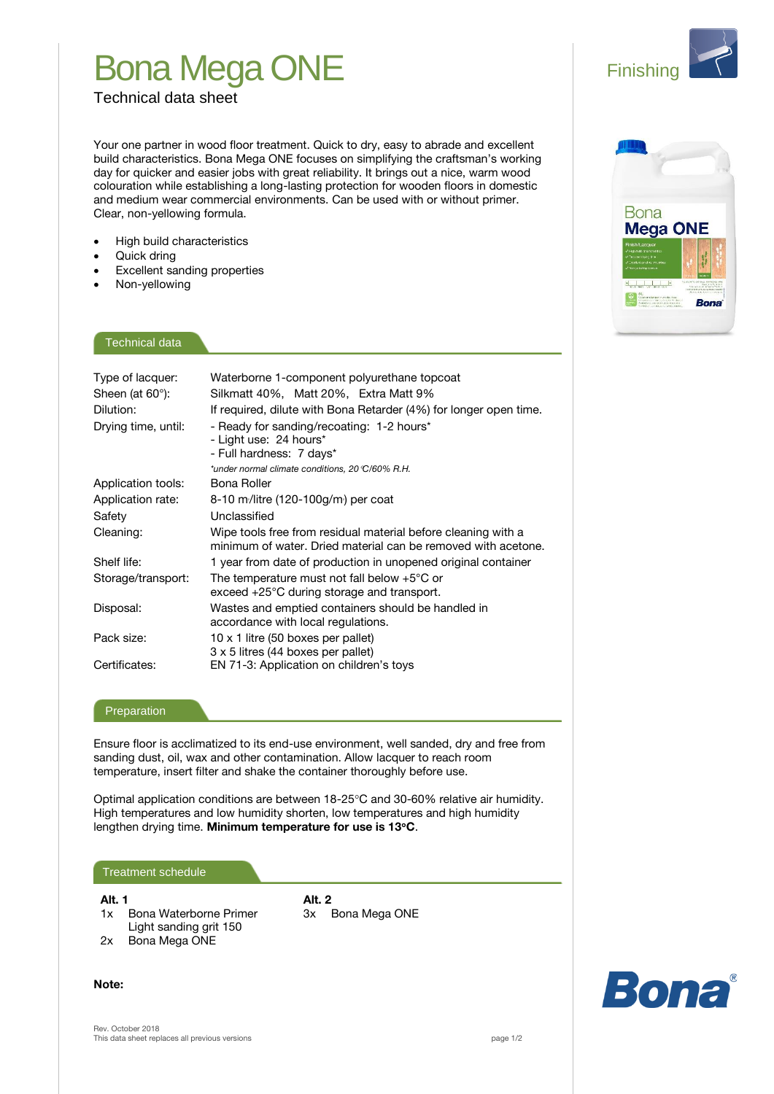## Bona Mega ONE

**Finishing** 

Technical data sheet

Your one partner in wood floor treatment. Quick to dry, easy to abrade and excellent build characteristics. Bona Mega ONE focuses on simplifying the craftsman's working day for quicker and easier jobs with great reliability. It brings out a nice, warm wood colouration while establishing a long-lasting protection for wooden floors in domestic and medium wear commercial environments. Can be used with or without primer. Clear, non-yellowing formula.

- High build characteristics
- Quick dring
- Excellent sanding properties
- Non-yellowing

**Bona Mega ONE Bona** 

### Technical data

| Type of lacquer:<br>Sheen (at $60^\circ$ ):<br>Dilution: | Waterborne 1-component polyurethane topcoat<br>Silkmatt 40%, Matt 20%, Extra Matt 9%<br>If required, dilute with Bona Retarder (4%) for longer open time. |
|----------------------------------------------------------|-----------------------------------------------------------------------------------------------------------------------------------------------------------|
| Drying time, until:                                      | - Ready for sanding/recoating: 1-2 hours*<br>- Light use: 24 hours*<br>- Full hardness: 7 days*<br>*under normal climate conditions, 20 °C/60% R.H.       |
| Application tools:                                       | Bona Roller                                                                                                                                               |
| Application rate:                                        | 8-10 m/litre $(120-100)$ m $)$ per coat                                                                                                                   |
| Safety                                                   | Unclassified                                                                                                                                              |
| Cleaning:                                                | Wipe tools free from residual material before cleaning with a<br>minimum of water. Dried material can be removed with acetone.                            |
| Shelf life:                                              | 1 year from date of production in unopened original container                                                                                             |
| Storage/transport:                                       | The temperature must not fall below $+5^{\circ}$ C or<br>exceed $+25^{\circ}$ C during storage and transport.                                             |
| Disposal:                                                | Wastes and emptied containers should be handled in<br>accordance with local regulations.                                                                  |
| Pack size:                                               | 10 x 1 litre (50 boxes per pallet)<br>3 x 5 litres (44 boxes per pallet)                                                                                  |
| Certificates:                                            | EN 71-3: Application on children's toys                                                                                                                   |

#### Preparation

Ensure floor is acclimatized to its end-use environment, well sanded, dry and free from sanding dust, oil, wax and other contamination. Allow lacquer to reach room temperature, insert filter and shake the container thoroughly before use.

Optimal application conditions are between 18-25°C and 30-60% relative air humidity. High temperatures and low humidity shorten, low temperatures and high humidity lengthen drying time. **Minimum temperature for use is 13C**.

#### Treatment schedule

**Alt. 1 Alt. 2**

- 1x Bona Waterborne Primer 3x Bona Mega ONE Light sanding grit 150
- 2x Bona Mega ONE

**Note:**